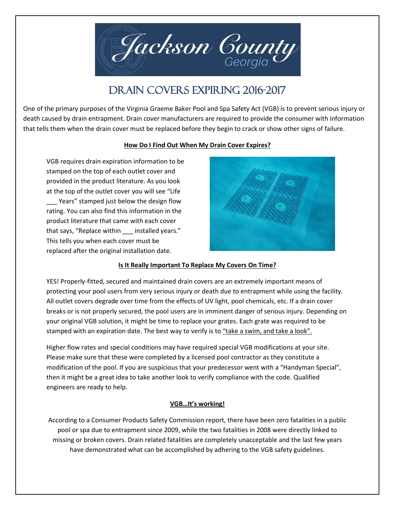

# DRAIN COVERS EXPIRING 2016-2017

One of the primary purposes of the Virginia Graeme Baker Pool and Spa Safety Act (VGB) is to prevent serious injury or death caused by drain entrapment. Drain cover manufacturers are required to provide the consumer with information that tells them when the drain cover must be replaced before they begin to crack or show other signs of failure.

## **How Do I Find Out When My Drain Cover Expires?**

VGB requires drain expiration information to be stamped on the top of each outlet cover and provided in the product literature. As you look at the top of the outlet cover you will see "Life \_\_\_ Years" stamped just below the design flow rating. You can also find this information in the product literature that came with each cover that says, "Replace within installed years." This tells you when each cover must be replaced after the original installation date.



## **Is It Really Important To Replace My Covers On Time?**

YES! Properly-fitted, secured and maintained drain covers are an extremely important means of protecting your pool users from very serious injury or death due to entrapment while using the facility. All outlet covers degrade over time from the effects of UV light, pool chemicals, etc. If a drain cover breaks or is not properly secured, the pool users are in imminent danger of serious injury. Depending on your original VGB solution, it might be time to replace your grates. Each grate was required to be stamped with an expiration date. The best way to verify is to "take a swim, and take a look".

Higher flow rates and special conditions may have required special VGB modifications at your site. Please make sure that these were completed by a licensed pool contractor as they constitute a modification of the pool. If you are suspicious that your predecessor went with a "Handyman Special", then it might be a great idea to take another look to verify compliance with the code. Qualified engineers are ready to help.

# **VGB…It's working!**

According to a Consumer Products Safety Commission report, there have been zero fatalities in a public pool or spa due to entrapment since 2009, while the two fatalities in 2008 were directly linked to missing or broken covers. Drain related fatalities are completely unacceptable and the last few years have demonstrated what can be accomplished by adhering to the VGB safety guidelines.